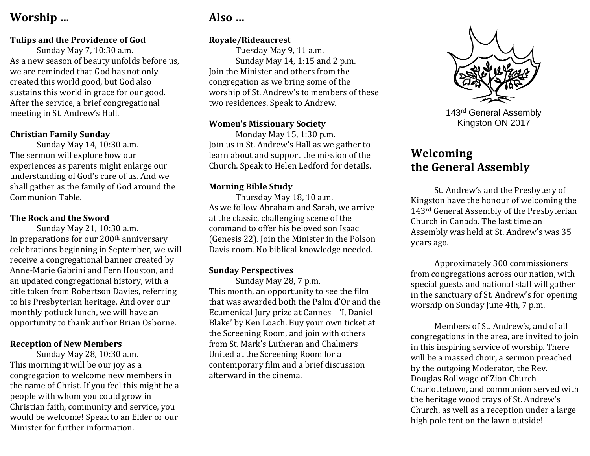## **Worship …**

#### **Tulips and the Providence of God**

Sunday May 7, 10:30 a.m. As a new season of beauty unfolds before us, we are reminded that God has not only created this world good, but God also sustains this world in grace for our good. After the service, a brief congregational meeting in St. Andrew's Hall.

#### **Christian Family Sunday**

Sunday May 14, 10:30 a.m. The sermon will explore how our experiences as parents might enlarge our understanding of God's care of us. And we shall gather as the family of God around the Communion Table.

#### **The Rock and the Sword**

Sunday May 21, 10:30 a.m. In preparations for our 200<sup>th</sup> anniversary celebrations beginning in September, we will receive a congregational banner created by Anne-Marie Gabrini and Fern Houston, and an updated congregational history, with a title taken from Robertson Davies, referring to his Presbyterian heritage. And over our monthly potluck lunch, we will have an opportunity to thank author Brian Osborne.

#### **Reception of New Members**

Sunday May 28, 10:30 a.m. This morning it will be our joy as a congregation to welcome new members in the name of Christ. If you feel this might be a people with whom you could grow in Christian faith, community and service, you would be welcome! Speak to an Elder or our Minister for further information.

# **Also …**

#### **Royale/Rideaucrest**

Tuesday May 9, 11 a.m. Sunday May 14, 1:15 and 2 p.m. Join the Minister and others from the congregation as we bring some of the worship of St. Andrew's to members of these two residences. Speak to Andrew.

#### **Women's Missionary Society**

Monday May 15, 1:30 p.m. Join us in St. Andrew's Hall as we gather to learn about and support the mission of the Church. Speak to Helen Ledford for details.

#### **Morning Bible Study**

Thursday May 18, 10 a.m. As we follow Abraham and Sarah, we arrive at the classic, challenging scene of the command to offer his beloved son Isaac (Genesis 22). Join the Minister in the Polson Davis room. No biblical knowledge needed.

#### **Sunday Perspectives**

Sunday May 28, 7 p.m. This month, an opportunity to see the film that was awarded both the Palm d'Or and the Ecumenical Jury prize at Cannes – 'I, Daniel Blake' by Ken Loach. Buy your own ticket at the Screening Room, and join with others from St. Mark's Lutheran and Chalmers United at the Screening Room for a contemporary film and a brief discussion afterward in the cinema.



143rd General Assembly Kingston ON 2017

# **Welcoming the General Assembly**

St. Andrew's and the Presbytery of Kingston have the honour of welcoming the 143rd General Assembly of the Presbyterian Church in Canada. The last time an Assembly was held at St. Andrew's was 35 years ago.

Approximately 300 commissioners from congregations across our nation, with special guests and national staff will gather in the sanctuary of St. Andrew's for opening worship on Sunday June 4th, 7 p.m.

Members of St. Andrew's, and of all congregations in the area, are invited to join in this inspiring service of worship. There will be a massed choir, a sermon preached by the outgoing Moderator, the Rev. Douglas Rollwage of Zion Church Charlottetown, and communion served with the heritage wood trays of St. Andrew's Church, as well as a reception under a large high pole tent on the lawn outside!